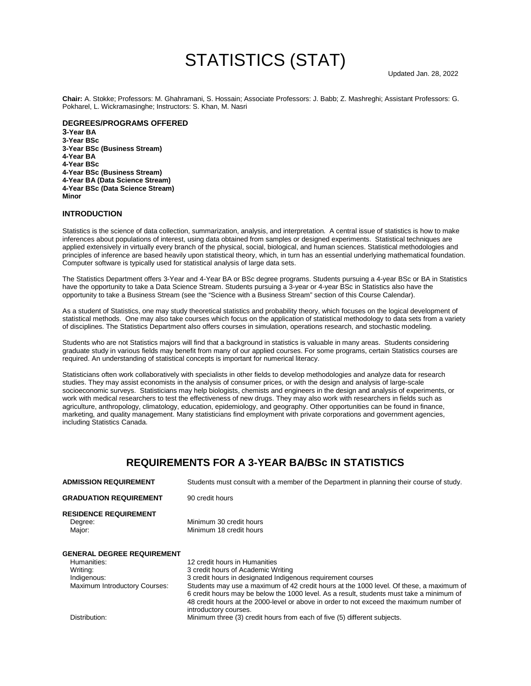# STATISTICS (STAT)

**Chair:** A. Stokke; Professors: M. Ghahramani, S. Hossain; Associate Professors: J. Babb; Z. Mashreghi; Assistant Professors: G. Pokharel, L. Wickramasinghe; Instructors: S. Khan, M. Nasri

#### **DEGREES/PROGRAMS OFFERED**

**3-Year BA 3-Year BSc 3-Year BSc (Business Stream) 4-Year BA 4-Year BSc 4-Year BSc (Business Stream) 4-Year BA (Data Science Stream) 4-Year BSc (Data Science Stream) Minor**

### **INTRODUCTION**

Statistics is the science of data collection, summarization, analysis, and interpretation. A central issue of statistics is how to make inferences about populations of interest, using data obtained from samples or designed experiments. Statistical techniques are applied extensively in virtually every branch of the physical, social, biological, and human sciences. Statistical methodologies and principles of inference are based heavily upon statistical theory, which, in turn has an essential underlying mathematical foundation. Computer software is typically used for statistical analysis of large data sets.

The Statistics Department offers 3-Year and 4-Year BA or BSc degree programs. Students pursuing a 4-year BSc or BA in Statistics have the opportunity to take a Data Science Stream. Students pursuing a 3-year or 4-year BSc in Statistics also have the opportunity to take a Business Stream (see the "Science with a Business Stream" section of this Course Calendar).

As a student of Statistics, one may study theoretical statistics and probability theory, which focuses on the logical development of statistical methods. One may also take courses which focus on the application of statistical methodology to data sets from a variety of disciplines. The Statistics Department also offers courses in simulation, operations research, and stochastic modeling.

Students who are not Statistics majors will find that a background in statistics is valuable in many areas. Students considering graduate study in various fields may benefit from many of our applied courses. For some programs, certain Statistics courses are required. An understanding of statistical concepts is important for numerical literacy.

Statisticians often work collaboratively with specialists in other fields to develop methodologies and analyze data for research studies. They may assist economists in the analysis of consumer prices, or with the design and analysis of large-scale socioeconomic surveys. Statisticians may help biologists, chemists and engineers in the design and analysis of experiments, or work with medical researchers to test the effectiveness of new drugs. They may also work with researchers in fields such as agriculture, anthropology, climatology, education, epidemiology, and geography. Other opportunities can be found in finance, marketing, and quality management. Many statisticians find employment with private corporations and government agencies, including Statistics Canada.

# **REQUIREMENTS FOR A 3-YEAR BA/BSc IN STATISTICS**

| <b>ADMISSION REQUIREMENT</b>                                                                                 | Students must consult with a member of the Department in planning their course of study.                                                                                                                                                                                                                                                                                                                                                      |
|--------------------------------------------------------------------------------------------------------------|-----------------------------------------------------------------------------------------------------------------------------------------------------------------------------------------------------------------------------------------------------------------------------------------------------------------------------------------------------------------------------------------------------------------------------------------------|
| <b>GRADUATION REQUIREMENT</b>                                                                                | 90 credit hours                                                                                                                                                                                                                                                                                                                                                                                                                               |
| <b>RESIDENCE REQUIREMENT</b><br>Degree:<br>Major:                                                            | Minimum 30 credit hours<br>Minimum 18 credit hours                                                                                                                                                                                                                                                                                                                                                                                            |
| <b>GENERAL DEGREE REQUIREMENT</b><br>Humanities:<br>Writing:<br>Indigenous:<br>Maximum Introductory Courses: | 12 credit hours in Humanities<br>3 credit hours of Academic Writing<br>3 credit hours in designated Indigenous requirement courses<br>Students may use a maximum of 42 credit hours at the 1000 level. Of these, a maximum of<br>6 credit hours may be below the 1000 level. As a result, students must take a minimum of<br>48 credit hours at the 2000-level or above in order to not exceed the maximum number of<br>introductory courses. |

Distribution: Minimum three (3) credit hours from each of five (5) different subjects.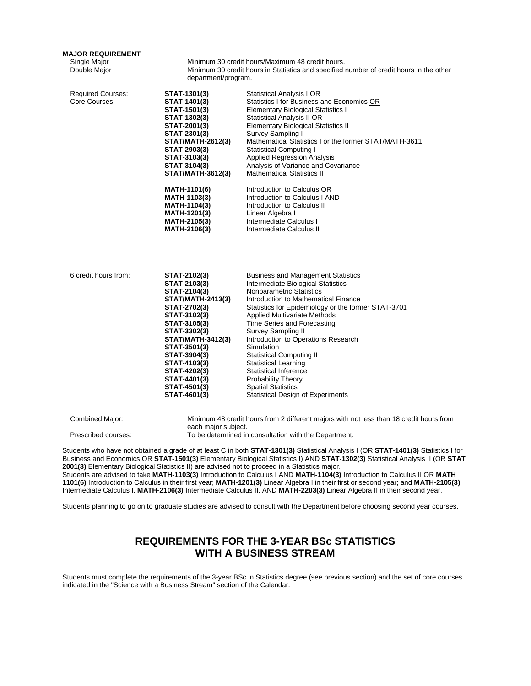# **MAJOR REQUIREMENT**

Single Major **Minimum 30 credit hours/Maximum 48 credit hours.**<br>
Double Major **Minimum 30 credit hours in Statistics and specified r** Minimum 30 credit hours in Statistics and specified number of credit hours in the other department/program.

| STAT-1301(3)             | Statistical Analysis I OR                                                                                                                        |
|--------------------------|--------------------------------------------------------------------------------------------------------------------------------------------------|
| STAT-1401(3)             | Statistics I for Business and Economics OR                                                                                                       |
| STAT-1501(3)             | <b>Elementary Biological Statistics I</b>                                                                                                        |
| STAT-1302(3)             | Statistical Analysis II OR                                                                                                                       |
| STAT-2001(3)             | <b>Elementary Biological Statistics II</b>                                                                                                       |
| STAT-2301(3)             | Survey Sampling I                                                                                                                                |
| <b>STAT/MATH-2612(3)</b> | Mathematical Statistics I or the former STAT/MATH-3611                                                                                           |
| STAT-2903(3)             | <b>Statistical Computing I</b>                                                                                                                   |
| STAT-3103(3)             | <b>Applied Regression Analysis</b>                                                                                                               |
| STAT-3104(3)             | Analysis of Variance and Covariance                                                                                                              |
| <b>STAT/MATH-3612(3)</b> | <b>Mathematical Statistics II</b>                                                                                                                |
| MATH-1101(6)             | Introduction to Calculus OR                                                                                                                      |
| MATH-1103(3)             | Introduction to Calculus I AND                                                                                                                   |
| MATH-1104(3)             | Introduction to Calculus II                                                                                                                      |
| MATH-1201(3)             | Linear Algebra I                                                                                                                                 |
| MATH-2105(3)             | Intermediate Calculus I                                                                                                                          |
| MATH-2106(3)             | Intermediate Calculus II                                                                                                                         |
| STAT-2102(3)             | <b>Business and Management Statistics</b>                                                                                                        |
| STAT-2103(3)             | Intermediate Biological Statistics                                                                                                               |
| STAT-2104(3)             | <b>Nonparametric Statistics</b>                                                                                                                  |
| <b>STAT/MATH-2413(3)</b> | Introduction to Mathematical Finance                                                                                                             |
| STAT-2702(3)             | Statistics for Epidemiology or the former STAT-3701                                                                                              |
| STAT-3102(3)             | <b>Applied Multivariate Methods</b>                                                                                                              |
| STAT-3105(3)             | Time Series and Forecasting                                                                                                                      |
| STAT-3302(3)             | Survey Sampling II                                                                                                                               |
| <b>STAT/MATH-3412(3)</b> | Introduction to Operations Research                                                                                                              |
| STAT-3501(3)             | Simulation                                                                                                                                       |
| STAT-3904(3)             | <b>Statistical Computing II</b>                                                                                                                  |
| STAT-4103(3)             | Statistical Learning                                                                                                                             |
| STAT-4202(3)             | <b>Statistical Inference</b>                                                                                                                     |
| STAT-4401(3)             | Probability Theory                                                                                                                               |
| STAT-4501(3)             | <b>Spatial Statistics</b>                                                                                                                        |
| STAT-4601(3)             | <b>Statistical Design of Experiments</b>                                                                                                         |
| each major subject.      | Minimum 48 credit hours from 2 different majors with not less than 18 credit hours from<br>To be determined in consultation with the Department. |
|                          |                                                                                                                                                  |

**2001(3)** Elementary Biological Statistics II) are advised not to proceed in a Statistics major. Students are advised to take **MATH-1103(3)** Introduction to Calculus I AND **MATH-1104(3)** Introduction to Calculus II OR **MATH 1101(6)** Introduction to Calculus in their first year; **MATH-1201(3)** Linear Algebra I in their first or second year; and **MATH-2105(3)** Intermediate Calculus I, **MATH-2106(3)** Intermediate Calculus II, AND **MATH-2203(3)** Linear Algebra II in their second year.

Students planning to go on to graduate studies are advised to consult with the Department before choosing second year courses.

# **REQUIREMENTS FOR THE 3-YEAR BSc STATISTICS WITH A BUSINESS STREAM**

Students must complete the requirements of the 3-year BSc in Statistics degree (see previous section) and the set of core courses indicated in the "Science with a Business Stream" section of the Calendar.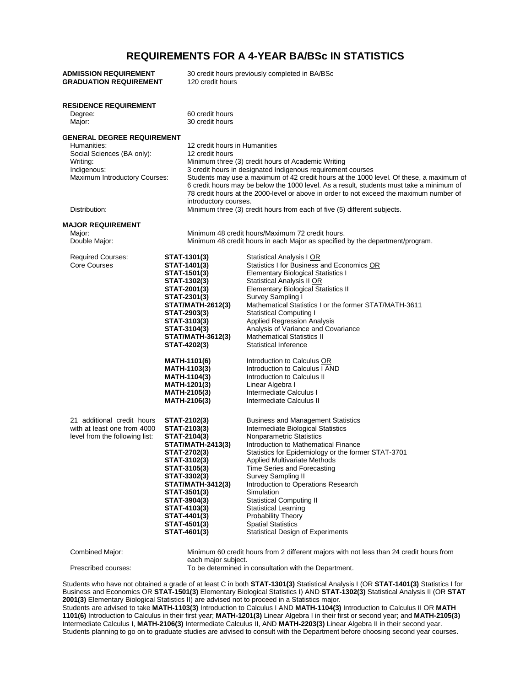# **REQUIREMENTS FOR A 4-YEAR BA/BSc IN STATISTICS**

| <b>ADMISSION REQUIREMENT</b><br><b>GRADUATION REQUIREMENT</b>                                                                                               | 120 credit hours                                                                                                                                                                                                                                                                                                                                               | 30 credit hours previously completed in BA/BSc                                                                                                                                                                                                                                                                                                                                                                                                                                                                                                                                                                                                        |
|-------------------------------------------------------------------------------------------------------------------------------------------------------------|----------------------------------------------------------------------------------------------------------------------------------------------------------------------------------------------------------------------------------------------------------------------------------------------------------------------------------------------------------------|-------------------------------------------------------------------------------------------------------------------------------------------------------------------------------------------------------------------------------------------------------------------------------------------------------------------------------------------------------------------------------------------------------------------------------------------------------------------------------------------------------------------------------------------------------------------------------------------------------------------------------------------------------|
| <b>RESIDENCE REQUIREMENT</b><br>Degree:<br>Major:                                                                                                           | 60 credit hours<br>30 credit hours                                                                                                                                                                                                                                                                                                                             |                                                                                                                                                                                                                                                                                                                                                                                                                                                                                                                                                                                                                                                       |
| <b>GENERAL DEGREE REQUIREMENT</b><br>Humanities:<br>Social Sciences (BA only):<br>Writing:<br>Indigenous:<br>Maximum Introductory Courses:<br>Distribution: | 12 credit hours in Humanities<br>12 credit hours<br>introductory courses.                                                                                                                                                                                                                                                                                      | Minimum three (3) credit hours of Academic Writing<br>3 credit hours in designated Indigenous requirement courses<br>Students may use a maximum of 42 credit hours at the 1000 level. Of these, a maximum of<br>6 credit hours may be below the 1000 level. As a result, students must take a minimum of<br>78 credit hours at the 2000-level or above in order to not exceed the maximum number of<br>Minimum three (3) credit hours from each of five (5) different subjects.                                                                                                                                                                       |
| <b>MAJOR REQUIREMENT</b><br>Major:<br>Double Major:                                                                                                         |                                                                                                                                                                                                                                                                                                                                                                | Minimum 48 credit hours/Maximum 72 credit hours.<br>Minimum 48 credit hours in each Major as specified by the department/program.                                                                                                                                                                                                                                                                                                                                                                                                                                                                                                                     |
| <b>Required Courses:</b><br>Core Courses                                                                                                                    | STAT-1301(3)<br>STAT-1401(3)<br><b>STAT-1501(3)</b><br>STAT-1302(3)<br>STAT-2001(3)<br>STAT-2301(3)<br><b>STAT/MATH-2612(3)</b><br>STAT-2903(3)<br>STAT-3103(3)<br>STAT-3104(3)<br><b>STAT/MATH-3612(3)</b><br>STAT-4202(3)<br>MATH-1101(6)<br><b>MATH-1103(3)</b><br><b>MATH-1104(3)</b><br><b>MATH-1201(3)</b><br><b>MATH-2105(3)</b><br><b>MATH-2106(3)</b> | Statistical Analysis I OR<br>Statistics I for Business and Economics OR<br><b>Elementary Biological Statistics I</b><br><b>Statistical Analysis II OR</b><br><b>Elementary Biological Statistics II</b><br>Survey Sampling I<br>Mathematical Statistics I or the former STAT/MATH-3611<br><b>Statistical Computing I</b><br><b>Applied Regression Analysis</b><br>Analysis of Variance and Covariance<br><b>Mathematical Statistics II</b><br><b>Statistical Inference</b><br>Introduction to Calculus OR<br>Introduction to Calculus I AND<br>Introduction to Calculus II<br>Linear Algebra I<br>Intermediate Calculus I<br>Intermediate Calculus II |
| 21 additional credit hours<br>with at least one from 4000<br>level from the following list:                                                                 | STAT-2102(3)<br>STAT-2103(3)<br>STAT-2104(3)<br>STAT/MATH-2413(3)<br>STAT-2702(3)<br>STAT-3102(3)<br>STAT-3105(3)<br>STAT-3302(3)<br><b>STAT/MATH-3412(3)</b><br>STAT-3501(3)<br>STAT-3904(3)<br>STAT-4103(3)<br>STAT-4401(3)<br>STAT-4501(3)<br>STAT-4601(3)                                                                                                  | <b>Business and Management Statistics</b><br>Intermediate Biological Statistics<br>Nonparametric Statistics<br>Introduction to Mathematical Finance<br>Statistics for Epidemiology or the former STAT-3701<br>Applied Multivariate Methods<br>Time Series and Forecasting<br><b>Survey Sampling II</b><br>Introduction to Operations Research<br>Simulation<br><b>Statistical Computing II</b><br><b>Statistical Learning</b><br>Probability Theory<br><b>Spatial Statistics</b><br><b>Statistical Design of Experiments</b>                                                                                                                          |
| Combined Major:                                                                                                                                             | each major subject.                                                                                                                                                                                                                                                                                                                                            | Minimum 60 credit hours from 2 different majors with not less than 24 credit hours from                                                                                                                                                                                                                                                                                                                                                                                                                                                                                                                                                               |
| Prescribed courses:                                                                                                                                         |                                                                                                                                                                                                                                                                                                                                                                | To be determined in consultation with the Department.                                                                                                                                                                                                                                                                                                                                                                                                                                                                                                                                                                                                 |

Students who have not obtained a grade of at least C in both **STAT-1301(3)** Statistical Analysis I (OR **STAT-1401(3)** Statistics I for Business and Economics OR **STAT-1501(3)** Elementary Biological Statistics I) AND **STAT-1302(3)** Statistical Analysis II (OR **STAT 2001(3)** Elementary Biological Statistics II) are advised not to proceed in a Statistics major. Students are advised to take **MATH-1103(3)** Introduction to Calculus I AND **MATH-1104(3)** Introduction to Calculus II OR **MATH 1101(6)** Introduction to Calculus in their first year; **MATH-1201(3)** Linear Algebra I in their first or second year; and **MATH-2105(3)** Intermediate Calculus I, **MATH-2106(3)** Intermediate Calculus II, AND **MATH-2203(3)** Linear Algebra II in their second year.

Students planning to go on to graduate studies are advised to consult with the Department before choosing second year courses.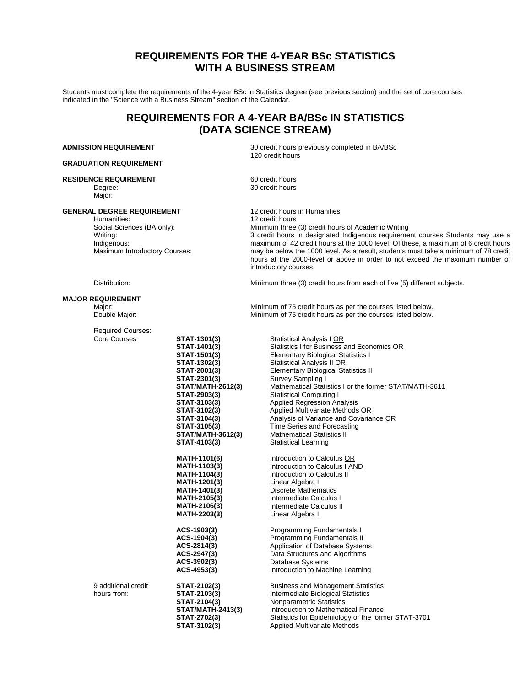# **REQUIREMENTS FOR THE 4-YEAR BSc STATISTICS WITH A BUSINESS STREAM**

Students must complete the requirements of the 4-year BSc in Statistics degree (see previous section) and the set of core courses indicated in the "Science with a Business Stream" section of the Calendar.

# **REQUIREMENTS FOR A 4-YEAR BA/BSc IN STATISTICS (DATA SCIENCE STREAM)**

#### **GRADUATION REQUIREMENT**

#### **RESIDENCE REQUIREMENT**

Degree: Major:

#### **GENERAL DEGREE REQUIREMENT**

Humanities: Social Sciences (BA only): Writing: Indigenous: Maximum Introductory Courses:

**ADMISSION REQUIREMENT** 30 credit hours previously completed in BA/BSc 120 credit hours

> 60 credit hours 30 credit hours

12 credit hours in Humanities 12 credit hours Minimum three (3) credit hours of Academic Writing 3 credit hours in designated Indigenous requirement courses Students may use a maximum of 42 credit hours at the 1000 level. Of these, a maximum of 6 credit hours may be below the 1000 level. As a result, students must take a minimum of 78 credit hours at the 2000-level or above in order to not exceed the maximum number of introductory courses.

Minimum three (3) credit hours from each of five (5) different subjects.

Distribution:

#### **MAJOR REQUIREMENT**

Major: Double Major:

Minimum of 75 credit hours as per the courses listed below. Minimum of 75 credit hours as per the courses listed below.

| <b>Required Courses:</b>           |                                                                                                                                                                                                                                                             |                                                                                                                                                                                                                                                                                                                                                                                                                                                                                                                                                |
|------------------------------------|-------------------------------------------------------------------------------------------------------------------------------------------------------------------------------------------------------------------------------------------------------------|------------------------------------------------------------------------------------------------------------------------------------------------------------------------------------------------------------------------------------------------------------------------------------------------------------------------------------------------------------------------------------------------------------------------------------------------------------------------------------------------------------------------------------------------|
| <b>Core Courses</b>                | STAT-1301(3)<br>STAT-1401(3)<br>STAT-1501(3)<br><b>STAT-1302(3)</b><br>STAT-2001(3)<br>STAT-2301(3)<br><b>STAT/MATH-2612(3)</b><br>STAT-2903(3)<br>STAT-3103(3)<br>STAT-3102(3)<br>STAT-3104(3)<br>STAT-3105(3)<br><b>STAT/MATH-3612(3)</b><br>STAT-4103(3) | <b>Statistical Analysis I OR</b><br>Statistics I for Business and Economics OR<br><b>Elementary Biological Statistics I</b><br>Statistical Analysis II OR<br><b>Elementary Biological Statistics II</b><br>Survey Sampling I<br>Mathematical Statistics I or the former STAT/MATH-3611<br><b>Statistical Computing I</b><br><b>Applied Regression Analysis</b><br>Applied Multivariate Methods OR<br>Analysis of Variance and Covariance OR<br>Time Series and Forecasting<br><b>Mathematical Statistics II</b><br><b>Statistical Learning</b> |
|                                    | <b>MATH-1101(6)</b><br><b>MATH-1103(3)</b><br><b>MATH-1104(3)</b><br><b>MATH-1201(3)</b><br><b>MATH-1401(3)</b><br><b>MATH-2105(3)</b><br>MATH-2106(3)<br>MATH-2203(3)                                                                                      | Introduction to Calculus OR<br>Introduction to Calculus I AND<br>Introduction to Calculus II<br>Linear Algebra I<br>Discrete Mathematics<br>Intermediate Calculus I<br>Intermediate Calculus II<br>Linear Algebra II                                                                                                                                                                                                                                                                                                                           |
|                                    | ACS-1903(3)<br>ACS-1904(3)<br>ACS-2814(3)<br>ACS-2947(3)<br>ACS-3902(3)<br>ACS-4953(3)                                                                                                                                                                      | Programming Fundamentals I<br>Programming Fundamentals II<br>Application of Database Systems<br>Data Structures and Algorithms<br>Database Systems<br>Introduction to Machine Learning                                                                                                                                                                                                                                                                                                                                                         |
| 9 additional credit<br>hours from: | STAT-2102(3)<br>STAT-2103(3)<br>STAT-2104(3)<br><b>STAT/MATH-2413(3)</b><br>STAT-2702(3)<br>STAT-3102(3)                                                                                                                                                    | <b>Business and Management Statistics</b><br>Intermediate Biological Statistics<br>Nonparametric Statistics<br>Introduction to Mathematical Finance<br>Statistics for Epidemiology or the former STAT-3701<br><b>Applied Multivariate Methods</b>                                                                                                                                                                                                                                                                                              |